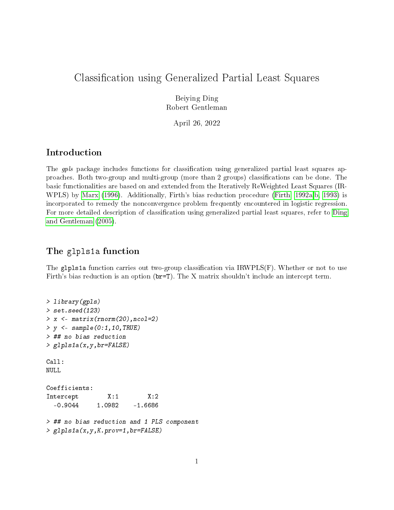# Classification using Generalized Partial Least Squares

Beiying Ding Robert Gentleman

April 26, 2022

### Introduction

The gpls package includes functions for classification using generalized partial least squares approaches. Both two-group and multi-group (more than 2 groups) classifications can be done. The basic functionalities are based on and extended from the Iteratively ReWeighted Least Squares (IR-WPLS) by [Marx](#page-6-0) [\(1996\)](#page-6-0). Additionally, Firth's bias reduction procedure [\(Firth, 1992a,](#page-6-1)[b,](#page-6-2) [1993\)](#page-6-3) is incorporated to remedy the nonconvergence problem frequently encountered in logistic regression. For more detailed description of classification using generalized partial least squares, refer to [Ding](#page-5-0) [and Gentleman](#page-5-0) [\(2005\)](#page-5-0).

# The glpls1a function

The glpls1a function carries out two-group classification via  $IRWPLS(F)$ . Whether or not to use Firth's bias reduction is an option (br=T). The X matrix shouldn't include an intercept term.

```
> library(gpls)
> set.seed(123)
> x <- matrix(rnorm(20),ncol=2)
> y < - sample(0:1, 10, TRUE)> ## no bias reduction
> glpls1a(x,y,br=FALSE)
Call:
NULL
Coefficients:
Intercept X:1 X:2-0.9044 1.0982 -1.6686
> ## no bias reduction and 1 PLS component
> glpls1a(x,y,K.prov=1,br=FALSE)
```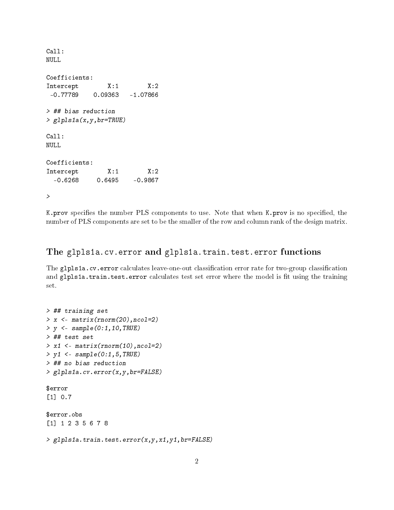```
Call:
NULL
Coefficients:
Intercept X:1 X:2-0.77789 0.09363 -1.07866
> ## bias reduction
> glpls1a(x,y,br=TRUE)
Call:
NULL
Coefficients:
Intercept X:1 X:2-0.6268 0.6495 -0.9867
>
```
K.prov specifies the number PLS components to use. Note that when K.prov is no specified, the number of PLS components are set to be the smaller of the row and column rank of the design matrix.

## The glpls1a.cv.error and glpls1a.train.test.error functions

The glpls1a.cv.error calculates leave-one-out classification error rate for two-group classification and glpls1a.train.test.error calculates test set error where the model is fit using the training set.

```
> ## training set
> x <- matrix(rnorm(20),ncol=2)
> y < - sample(0:1, 10, TRUE)> ## test set
> x1 <- matrix(rnorm(10),ncol=2)
> y1 \leq -sample(0:1,5,TRUE)> ## no bias reduction
> glpls1a.cv.error(x,y,br=FALSE)
$error
[1] 0.7
$error.obs
[1] 1 2 3 5 6 7 8
> glpls1a.train.test.error(x,y,x1,y1,br=FALSE)
```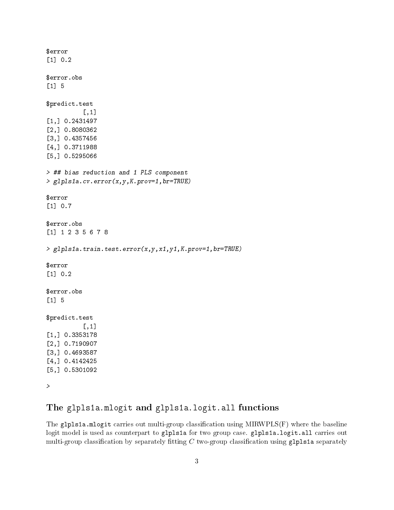```
$error
[1] 0.2
$error.obs
[1] 5
$predict.test
          [,1]
[1,] 0.2431497
[2,] 0.8080362
[3,] 0.4357456
[4,] 0.3711988
[5,] 0.5295066
> ## bias reduction and 1 PLS component
> glpls1a.cv.error(x,y,K.prov=1,br=TRUE)
$error
[1] 0.7
$error.obs
[1] 1 2 3 5 6 7 8
> glpls1a.train.test.error(x,y,x1,y1,K.prov=1,br=TRUE)
$error
[1] 0.2
$error.obs
[1] 5
$predict.test
          [,1]
[1,] 0.3353178
[2,] 0.7190907
[3,] 0.4693587
[4,] 0.4142425
[5,] 0.5301092
>
```
# The glpls1a.mlogit and glpls1a.logit.all functions

The glpls1a.mlogit carries out multi-group classification using  $MIRWPLS(F)$  where the baseline logit model is used as counterpart to glpls1a for two group case. glpls1a.logit.all carries out multi-group classification by separately fitting  $C$  two-group classification using glpls1a separately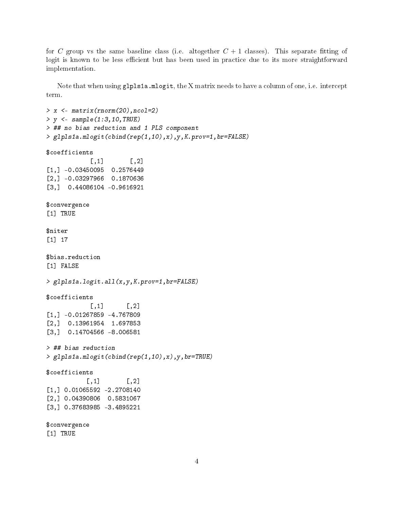for C group vs the same baseline class (i.e. altogether  $C + 1$  classes). This separate fitting of logit is known to be less efficient but has been used in practice due to its more straightforward implementation.

Note that when using glpls1a.mlogit, the X matrix needs to have a column of one, i.e. intercept term.

```
> x < - matrix(rnorm(20), ncol=2)
> y <- sample(1:3,10,TRUE)
> ## no bias reduction and 1 PLS component
> glpls1a.mlogit(cbind(rep(1,10),x),y,K.prov=1,br=FALSE)
$coefficients
            \lceil,1\rceil \lceil,2\rceil[1,] -0.03450095 0.2576449
[2,] -0.03297966 0.1870636
[3,] 0.44086104 -0.9616921
$convergence
[1] TRUE
$niter
[1] 17
$bias.reduction
[1] FALSE
> glpls1a.logit.all(x,y,K.prov=1,br=FALSE)
$coefficients
            \lceil, 1] \lceil, 2]
[1,] -0.01267859 -4.767809
[2,] 0.13961954 1.697853
[3,] 0.14704566 -8.006581
> ## bias reduction
> glpls1a.mlogit(cbind(rep(1,10),x),y,br=TRUE)
$coefficients
           [, 1] [, 2][1,] 0.01065592 -2.2708140
[2,] 0.04390806 0.5831067
[3,] 0.37683985 -3.4895221
$convergence
[1] TRUE
```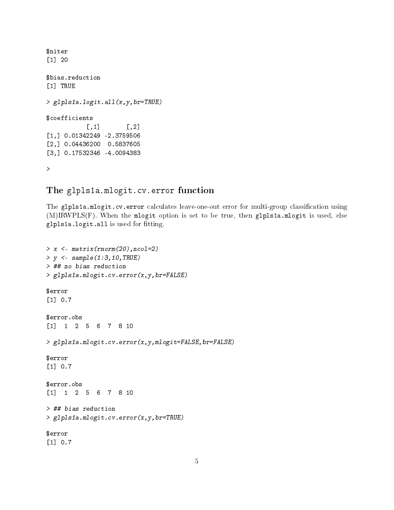```
$niter
[1] 20
$bias.reduction
[1] TRUE
> glpls1a.logit.all(x,y,br=TRUE)
$coefficients
           [,1] [,2][1,] 0.01342249 -2.3759506
[2,] 0.04436200 0.5837605
[3,] 0.17532346 -4.0094383
>
```
## The glpls1a.mlogit.cv.error function

The glpls1a.mlogit.cv.error calculates leave-one-out error for multi-group classification using (M)IRWPLS(F). When the mlogit option is set to be true, then glpls1a.mlogit is used, else glpls1a.logit.all is used for fitting.

```
> x <- matrix(rnorm(20),ncol=2)
> y <- sample(1:3,10,TRUE)
> ## no bias reduction
> glpls1a.mlogit.cv.error(x,y,br=FALSE)
$error
[1] 0.7
$error.obs
[1] 1 2 5 6 7 8 10
> glpls1a.mlogit.cv.error(x,y,mlogit=FALSE,br=FALSE)
$error
[1] 0.7
$error.obs
[1] 1 2 5 6 7 8 10
> ## bias reduction
> glpls1a.mlogit.cv.error(x,y,br=TRUE)
$error
[1] 0.7
```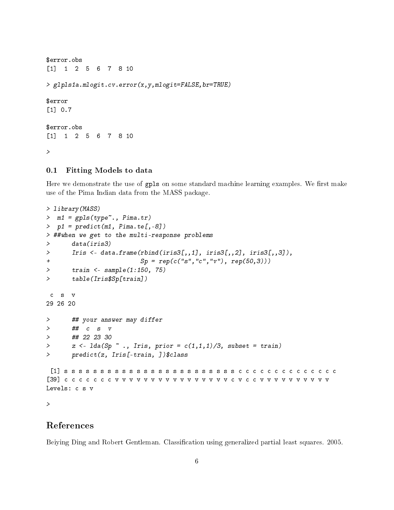```
$error.obs
[1] 1 2 5 6 7 8 10
> glpls1a.mlogit.cv.error(x,y,mlogit=FALSE,br=TRUE)
$error
[1] 0.7
$error.obs
[1] 1 2 5 6 7 8 10
>
```
#### 0.1 Fitting Models to data

Here we demonstrate the use of gpls on some standard machine learning examples. We first make use of the Pima Indian data from the MASS package.

```
> library(MASS)
> m1 = gpls(type~., Pima.tr)
> p1 = predict(m1, Pima.te[,-8])
> ##when we get to the multi-response problems
> data(iris3)
> Iris <- data.frame(rbind(iris3[,,1], iris3[,,2], iris3[,,3]),
+ Sp = rep(c("s","c","v"), rep(50,3)))
> train <- sample(1:150, 75)
> table(Iris$Sp[train])
 c s v
29 26 20
> ## your answer may differ
> ## c s v
> ## 22 23 30
> z \leftarrow \text{lda}(Sp \text{`` ., } Iris, prior = c(1,1,1)/3, subset = train)> predict(z, Iris[-train, ])$class
 [1] s s s s s s s s s s s s s s s s s s s s s s s s c c c c c c c c c c c c c c
[39] c c c c c c c v v v v v v v v v v v v v v v v c v c c v v v v v v v v v v
Levels: c s v
>
```
# References

<span id="page-5-0"></span>Beiying Ding and Robert Gentleman. Classification using generalized partial least squares. 2005.